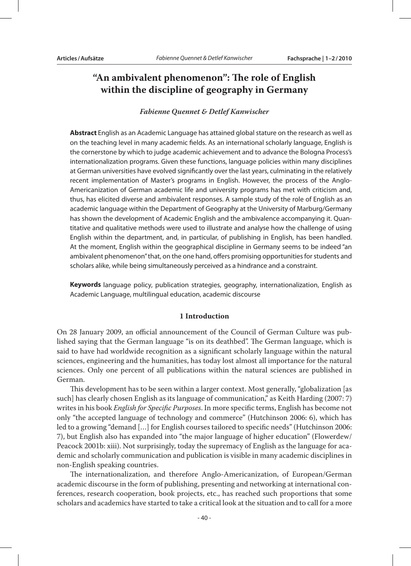# **"An ambivalent phenomenon": The role of English within the discipline of geography in Germany**

#### *Fabienne Quennet & Detlef Kanwischer*

**Abstract** English as an Academic Language has attained global stature on the research as well as on the teaching level in many academic fields. As an international scholarly language, English is the cornerstone by which to judge academic achievement and to advance the Bologna Process's internationalization programs. Given these functions, language policies within many disciplines at German universities have evolved significantly over the last years, culminating in the relatively recent implementation of Master's programs in English. However, the process of the Anglo-Americanization of German academic life and university programs has met with criticism and, thus, has elicited diverse and ambivalent responses. A sample study of the role of English as an academic language within the Department of Geography at the University of Marburg/Germany has shown the development of Academic English and the ambivalence accompanying it. Quantitative and qualitative methods were used to illustrate and analyse how the challenge of using English within the department, and, in particular, of publishing in English, has been handled. At the moment, English within the geographical discipline in Germany seems to be indeed "an ambivalent phenomenon" that, on the one hand, offers promising opportunities for students and scholars alike, while being simultaneously perceived as a hindrance and a constraint.

**Keywords** language policy, publication strategies, geography, internationalization, English as Academic Language, multilingual education, academic discourse

#### **1 Introduction**

On 28 January 2009, an official announcement of the Council of German Culture was published saying that the German language "is on its deathbed". The German language, which is said to have had worldwide recognition as a significant scholarly language within the natural sciences, engineering and the humanities, has today lost almost all importance for the natural sciences. Only one percent of all publications within the natural sciences are published in German.

This development has to be seen within a larger context. Most generally, "globalization [as such] has clearly chosen English as its language of communication," as Keith Harding (2007: 7) writes in his book *English for Specific Purposes*. In more specific terms, English has become not only "the accepted language of technology and commerce" (Hutchinson 2006: 6), which has led to a growing "demand […] for English courses tailored to specific needs" (Hutchinson 2006: 7), but English also has expanded into "the major language of higher education" (Flowerdew/ Peacock 2001b: xiii). Not surprisingly, today the supremacy of English as the language for academic and scholarly communication and publication is visible in many academic disciplines in non-English speaking countries.

The internationalization, and therefore Anglo-Americanization, of European/German academic discourse in the form of publishing, presenting and networking at international conferences, research cooperation, book projects, etc., has reached such proportions that some scholars and academics have started to take a critical look at the situation and to call for a more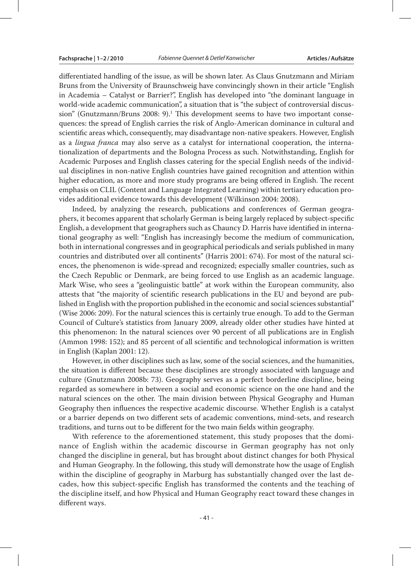differentiated handling of the issue, as will be shown later. As Claus Gnutzmann and Miriam Bruns from the University of Braunschweig have convincingly shown in their article "English in Academia – Catalyst or Barrier?", English has developed into "the dominant language in world-wide academic communication", a situation that is "the subject of controversial discussion" (Gnutzmann/Bruns 2008: 9).<sup>1</sup> This development seems to have two important consequences: the spread of English carries the risk of Anglo-American dominance in cultural and scientific areas which, consequently, may disadvantage non-native speakers. However, English as a *lingua franca* may also serve as a catalyst for international cooperation, the internationalization of departments and the Bologna Process as such. Notwithstanding, English for Academic Purposes and English classes catering for the special English needs of the individual disciplines in non-native English countries have gained recognition and attention within higher education, as more and more study programs are being offered in English. The recent emphasis on CLIL (Content and Language Integrated Learning) within tertiary education provides additional evidence towards this development (Wilkinson 2004: 2008).

Indeed, by analyzing the research, publications and conferences of German geographers, it becomes apparent that scholarly German is being largely replaced by subject-specific English, a development that geographers such as Chauncy D. Harris have identified in international geography as well: "English has increasingly become the medium of communication, both in international congresses and in geographical periodicals and serials published in many countries and distributed over all continents" (Harris 2001: 674). For most of the natural sciences, the phenomenon is wide-spread and recognized; especially smaller countries, such as the Czech Republic or Denmark, are being forced to use English as an academic language. Mark Wise, who sees a "geolinguistic battle" at work within the European community, also attests that "the majority of scientific research publications in the EU and beyond are published in English with the proportion published in the economic and social sciences substantial" (Wise 2006: 209). For the natural sciences this is certainly true enough. To add to the German Council of Culture's statistics from January 2009, already older other studies have hinted at this phenomenon: In the natural sciences over 90 percent of all publications are in English (Ammon 1998: 152); and 85 percent of all scientific and technological information is written in English (Kaplan 2001: 12).

However, in other disciplines such as law, some of the social sciences, and the humanities, the situation is different because these disciplines are strongly associated with language and culture (Gnutzmann 2008b: 73). Geography serves as a perfect borderline discipline, being regarded as somewhere in between a social and economic science on the one hand and the natural sciences on the other. The main division between Physical Geography and Human Geography then influences the respective academic discourse. Whether English is a catalyst or a barrier depends on two different sets of academic conventions, mind-sets, and research traditions, and turns out to be different for the two main fields within geography.

With reference to the aforementioned statement, this study proposes that the dominance of English within the academic discourse in German geography has not only changed the discipline in general, but has brought about distinct changes for both Physical and Human Geography. In the following, this study will demonstrate how the usage of English within the discipline of geography in Marburg has substantially changed over the last decades, how this subject-specific English has transformed the contents and the teaching of the discipline itself, and how Physical and Human Geography react toward these changes in different ways.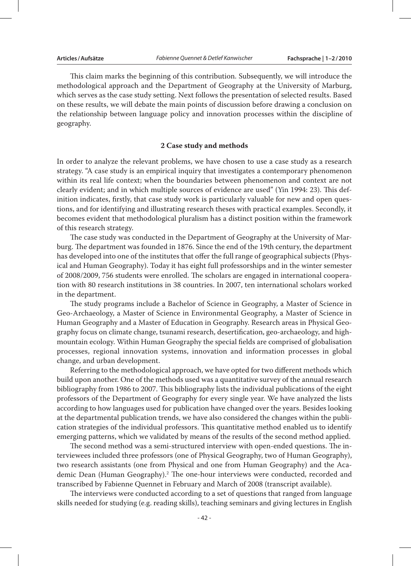This claim marks the beginning of this contribution. Subsequently, we will introduce the methodological approach and the Department of Geography at the University of Marburg, which serves as the case study setting. Next follows the presentation of selected results. Based on these results, we will debate the main points of discussion before drawing a conclusion on the relationship between language policy and innovation processes within the discipline of geography.

#### **2 Case study and methods**

In order to analyze the relevant problems, we have chosen to use a case study as a research strategy. "A case study is an empirical inquiry that investigates a contemporary phenomenon within its real life context; when the boundaries between phenomenon and context are not clearly evident; and in which multiple sources of evidence are used" (Yin 1994: 23). This definition indicates, firstly, that case study work is particularly valuable for new and open questions, and for identifying and illustrating research theses with practical examples. Secondly, it becomes evident that methodological pluralism has a distinct position within the framework of this research strategy.

The case study was conducted in the Department of Geography at the University of Marburg. The department was founded in 1876. Since the end of the 19th century, the department has developed into one of the institutes that offer the full range of geographical subjects (Physical and Human Geography). Today it has eight full professorships and in the winter semester of 2008/2009, 756 students were enrolled. The scholars are engaged in international cooperation with 80 research institutions in 38 countries. In 2007, ten international scholars worked in the department.

The study programs include a Bachelor of Science in Geography, a Master of Science in Geo-Archaeology, a Master of Science in Environmental Geography, a Master of Science in Human Geography and a Master of Education in Geography. Research areas in Physical Geography focus on climate change, tsunami research, desertification, geo-archaeology, and highmountain ecology. Within Human Geography the special fields are comprised of globalisation processes, regional innovation systems, innovation and information processes in global change, and urban development.

Referring to the methodological approach, we have opted for two different methods which build upon another. One of the methods used was a quantitative survey of the annual research bibliography from 1986 to 2007. This bibliography lists the individual publications of the eight professors of the Department of Geography for every single year. We have analyzed the lists according to how languages used for publication have changed over the years. Besides looking at the departmental publication trends, we have also considered the changes within the publication strategies of the individual professors. This quantitative method enabled us to identify emerging patterns, which we validated by means of the results of the second method applied.

The second method was a semi-structured interview with open-ended questions. The interviewees included three professors (one of Physical Geography, two of Human Geography), two research assistants (one from Physical and one from Human Geography) and the Academic Dean (Human Geography).2 The one-hour interviews were conducted, recorded and transcribed by Fabienne Quennet in February and March of 2008 (transcript available).

The interviews were conducted according to a set of questions that ranged from language skills needed for studying (e.g. reading skills), teaching seminars and giving lectures in English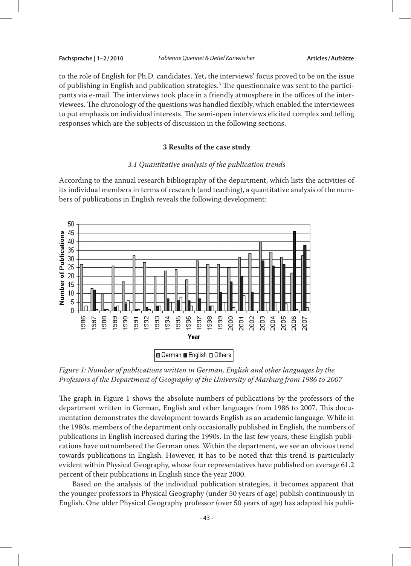to the role of English for Ph.D. candidates. Yet, the interviews' focus proved to be on the issue of publishing in English and publication strategies.<sup>3</sup> The questionnaire was sent to the participants via e-mail. The interviews took place in a friendly atmosphere in the offices of the interviewees. The chronology of the questions was handled flexibly, which enabled the interviewees to put emphasis on individual interests. The semi-open interviews elicited complex and telling responses which are the subjects of discussion in the following sections.

#### **3 Results of the case study**

### *3.1 Quantitative analysis of the publication trends*

According to the annual research bibliography of the department, which lists the activities of its individual members in terms of research (and teaching), a quantitative analysis of the numbers of publications in English reveals the following development:



*Figure 1: Number of publications written in German, English and other languages by the Professors of the Department of Geography of the University of Marburg from 1986 to 2007* 

The graph in Figure 1 shows the absolute numbers of publications by the professors of the department written in German, English and other languages from 1986 to 2007. This documentation demonstrates the development towards English as an academic language. While in the 1980s, members of the department only occasionally published in English, the numbers of publications in English increased during the 1990s. In the last few years, these English publications have outnumbered the German ones. Within the department, we see an obvious trend towards publications in English. However, it has to be noted that this trend is particularly evident within Physical Geography, whose four representatives have published on average 61.2 percent of their publications in English since the year 2000.

Based on the analysis of the individual publication strategies, it becomes apparent that the younger professors in Physical Geography (under 50 years of age) publish continuously in English. One older Physical Geography professor (over 50 years of age) has adapted his publi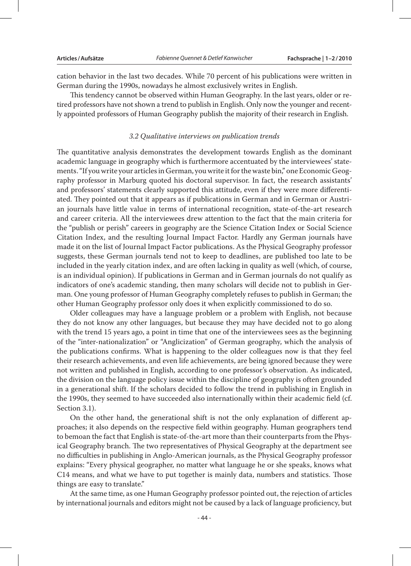cation behavior in the last two decades. While 70 percent of his publications were written in German during the 1990s, nowadays he almost exclusively writes in English.

This tendency cannot be observed within Human Geography. In the last years, older or retired professors have not shown a trend to publish in English. Only now the younger and recently appointed professors of Human Geography publish the majority of their research in English.

#### *3.2 Qualitative interviews on publication trends*

The quantitative analysis demonstrates the development towards English as the dominant academic language in geography which is furthermore accentuated by the interviewees' statements. "If you write your articles in German, you write it for the waste bin," one Economic Geography professor in Marburg quoted his doctoral supervisor. In fact, the research assistants' and professors' statements clearly supported this attitude, even if they were more differentiated. They pointed out that it appears as if publications in German and in German or Austrian journals have little value in terms of international recognition, state-of-the-art research and career criteria. All the interviewees drew attention to the fact that the main criteria for the "publish or perish" careers in geography are the Science Citation Index or Social Science Citation Index, and the resulting Journal Impact Factor. Hardly any German journals have made it on the list of Journal Impact Factor publications. As the Physical Geography professor suggests, these German journals tend not to keep to deadlines, are published too late to be included in the yearly citation index, and are often lacking in quality as well (which, of course, is an individual opinion). If publications in German and in German journals do not qualify as indicators of one's academic standing, then many scholars will decide not to publish in German. One young professor of Human Geography completely refuses to publish in German; the other Human Geography professor only does it when explicitly commissioned to do so.

Older colleagues may have a language problem or a problem with English, not because they do not know any other languages, but because they may have decided not to go along with the trend 15 years ago, a point in time that one of the interviewees sees as the beginning of the "inter-nationalization" or "Anglicization" of German geography, which the analysis of the publications confirms. What is happening to the older colleagues now is that they feel their research achievements, and even life achievements, are being ignored because they were not written and published in English, according to one professor's observation. As indicated, the division on the language policy issue within the discipline of geography is often grounded in a generational shift. If the scholars decided to follow the trend in publishing in English in the 1990s, they seemed to have succeeded also internationally within their academic field (cf. Section 3.1).

On the other hand, the generational shift is not the only explanation of different approaches; it also depends on the respective field within geography. Human geographers tend to bemoan the fact that English is state-of-the-art more than their counterparts from the Physical Geography branch. The two representatives of Physical Geography at the department see no difficulties in publishing in Anglo-American journals, as the Physical Geography professor explains: "Every physical geographer, no matter what language he or she speaks, knows what C14 means, and what we have to put together is mainly data, numbers and statistics. Those things are easy to translate."

At the same time, as one Human Geography professor pointed out, the rejection of articles by international journals and editors might not be caused by a lack of language proficiency, but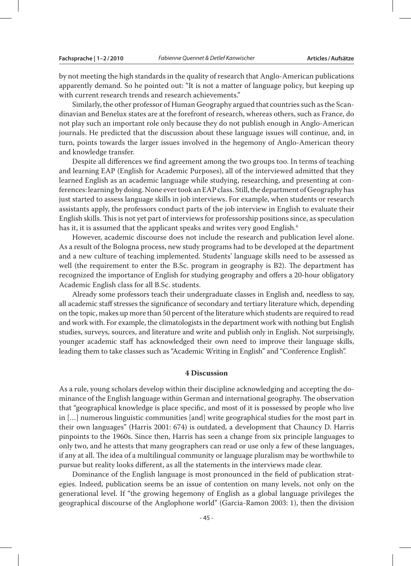by not meeting the high standards in the quality of research that Anglo-American publications apparently demand. So he pointed out: "It is not a matter of language policy, but keeping up with current research trends and research achievements."

Similarly, the other professor of Human Geography argued that countries such as the Scandinavian and Benelux states are at the forefront of research, whereas others, such as France, do not play such an important role only because they do not publish enough in Anglo-American journals. He predicted that the discussion about these language issues will continue, and, in turn, points towards the larger issues involved in the hegemony of Anglo-American theory and knowledge transfer.

Despite all differences we find agreement among the two groups too. In terms of teaching and learning EAP (English for Academic Purposes), all of the interviewed admitted that they learned English as an academic language while studying, researching, and presenting at conferences: learning by doing. None ever took an EAP class. Still, the department of Geography has just started to assess language skills in job interviews. For example, when students or research assistants apply, the professors conduct parts of the job interview in English to evaluate their English skills. This is not yet part of interviews for professorship positions since, as speculation has it, it is assumed that the applicant speaks and writes very good English.<sup>4</sup>

However, academic discourse does not include the research and publication level alone. As a result of the Bologna process, new study programs had to be developed at the department and a new culture of teaching implemented. Students' language skills need to be assessed as well (the requirement to enter the B.Sc. program in geography is B2). The department has recognized the importance of English for studying geography and offers a 20-hour obligatory Academic English class for all B.Sc. students.

Already some professors teach their undergraduate classes in English and, needless to say, all academic staff stresses the significance of secondary and tertiary literature which, depending on the topic, makes up more than 50 percent of the literature which students are required to read and work with. For example, the climatologists in the department work with nothing but English studies, surveys, sources, and literature and write and publish only in English. Not surprisingly, younger academic staff has acknowledged their own need to improve their language skills, leading them to take classes such as "Academic Writing in English" and "Conference English".

#### **4 Discussion**

As a rule, young scholars develop within their discipline acknowledging and accepting the dominance of the English language within German and international geography. The observation that "geographical knowledge is place specific, and most of it is possessed by people who live in […] numerous linguistic communities [and] write geographical studies for the most part in their own languages" (Harris 2001: 674) is outdated, a development that Chauncy D. Harris pinpoints to the 1960s. Since then, Harris has seen a change from six principle languages to only two, and he attests that many geographers can read or use only a few of these languages, if any at all. The idea of a multilingual community or language pluralism may be worthwhile to pursue but reality looks different, as all the statements in the interviews made clear.

Dominance of the English language is most pronounced in the field of publication strategies. Indeed, publication seems be an issue of contention on many levels, not only on the generational level. If "the growing hegemony of English as a global language privileges the geographical discourse of the Anglophone world" (Garcia-Ramon 2003: 1), then the division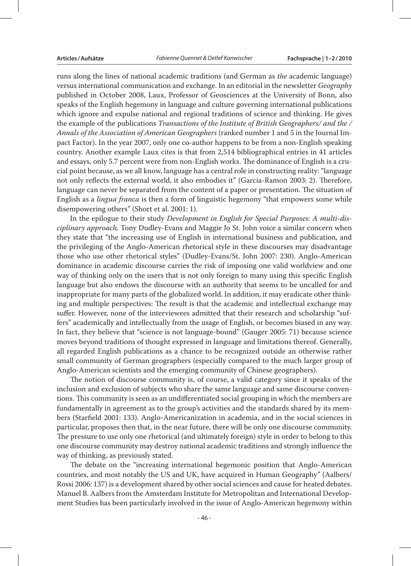runs along the lines of national academic traditions (and German as *the* academic language) versus international communication and exchange. In an editorial in the newsletter *Geography* published in October 2008, Laux, Professor of Geosciences at the University of Bonn, also speaks of the English hegemony in language and culture governing international publications which ignore and expulse national and regional traditions of science and thinking. He gives the example of the publications *Transactions of the Institute of British Geographers/ and the / Annals of the Association of American Geographers* (ranked number 1 and 5 in the Journal Impact Factor). In the year 2007, only one co-author happens to be from a non-English speaking country. Another example Laux cites is that from 2,514 bibliographical entries in 41 articles and essays, only 5.7 percent were from non-English works. The dominance of English is a crucial point because, as we all know, language has a central role in constructing reality: "language not only reflects the external world, it also embodies it" (Garcia-Ramon 2003: 2). Therefore, language can never be separated from the content of a paper or presentation. The situation of English as a *lingua franca* is then a form of linguistic hegemony "that empowers some while disempowering others" (Short et al. 2001: 1).

In the epilogue to their study *Development in English for Special Purposes: A multi-disciplinary approach,* Tony Dudley-Evans and Maggie Jo St. John voice a similar concern when they state that "the increasing use of English in international business and publication, and the privileging of the Anglo-American rhetorical style in these discourses may disadvantage those who use other rhetorical styles" (Dudley-Evans/St. John 2007: 230). Anglo-American dominance in academic discourse carries the risk of imposing one valid worldview and one way of thinking only on the users that is not only foreign to many using this specific English language but also endows the discourse with an authority that seems to be uncalled for and inappropriate for many parts of the globalized world. In addition, it may eradicate other thinking and multiple perspectives: The result is that the academic and intellectual exchange may suffer. However, none of the interviewees admitted that their research and scholarship "suffers" academically and intellectually from the usage of English, or becomes biased in any way. In fact, they believe that "science is not language-bound" (Gauger 2005: 71) because science moves beyond traditions of thought expressed in language and limitations thereof. Generally, all regarded English publications as a chance to be recognized outside an otherwise rather small community of German geographers (especially compared to the much larger group of Anglo-American scientists and the emerging community of Chinese geographers).

The notion of discourse community is, of course, a valid category since it speaks of the inclusion and exclusion of subjects who share the same language and same discourse conventions. This community is seen as an undifferentiated social grouping in which the members are fundamentally in agreement as to the group's activities and the standards shared by its members (Starfield 2001: 133). Anglo-Americanization in academia, and in the social sciences in particular, proposes then that, in the near future, there will be only one discourse community. The pressure to use only one rhetorical (and ultimately foreign) style in order to belong to this one discourse community may destroy national academic traditions and strongly influence the way of thinking, as previously stated.

The debate on the "increasing international hegemonic position that Anglo-American countries, and most notably the US and UK, have acquired in Human Geography" (Aalbers/ Rossi 2006: 137) is a development shared by other social sciences and cause for heated debates. Manuel B. Aalbers from the Amsterdam Institute for Metropolitan and International Development Studies has been particularly involved in the issue of Anglo-American hegemony within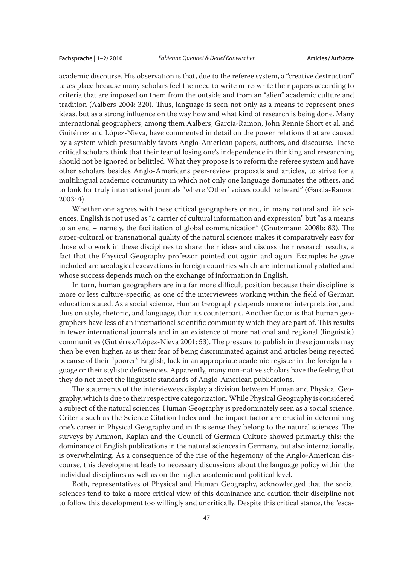academic discourse. His observation is that, due to the referee system, a "creative destruction" takes place because many scholars feel the need to write or re-write their papers according to criteria that are imposed on them from the outside and from an "alien" academic culture and tradition (Aalbers 2004: 320). Thus, language is seen not only as a means to represent one's ideas, but as a strong influence on the way how and what kind of research is being done. Many international geographers, among them Aalbers, Garcia-Ramon, John Rennie Short et al. and Guitérrez and López-Nieva, have commented in detail on the power relations that are caused by a system which presumably favors Anglo-American papers, authors, and discourse. These critical scholars think that their fear of losing one's independence in thinking and researching should not be ignored or belittled. What they propose is to reform the referee system and have other scholars besides Anglo-Americans peer-review proposals and articles, to strive for a multilingual academic community in which not only one language dominates the others, and to look for truly international journals "where 'Other' voices could be heard" (Garcia-Ramon 2003: 4).

Whether one agrees with these critical geographers or not, in many natural and life sciences, English is not used as "a carrier of cultural information and expression" but "as a means to an end – namely, the facilitation of global communication" (Gnutzmann 2008b: 83). The super-cultural or transnational quality of the natural sciences makes it comparatively easy for those who work in these disciplines to share their ideas and discuss their research results, a fact that the Physical Geography professor pointed out again and again. Examples he gave included archaeological excavations in foreign countries which are internationally staffed and whose success depends much on the exchange of information in English.

In turn, human geographers are in a far more difficult position because their discipline is more or less culture-specific, as one of the interviewees working within the field of German education stated. As a social science, Human Geography depends more on interpretation, and thus on style, rhetoric, and language, than its counterpart. Another factor is that human geographers have less of an international scientific community which they are part of. This results in fewer international journals and in an existence of more national and regional (linguistic) communities (Gutiérrez/López-Nieva 2001: 53). The pressure to publish in these journals may then be even higher, as is their fear of being discriminated against and articles being rejected because of their "poorer" English, lack in an appropriate academic register in the foreign language or their stylistic deficiencies. Apparently, many non-native scholars have the feeling that they do not meet the linguistic standards of Anglo-American publications.

The statements of the interviewees display a division between Human and Physical Geography, which is due to their respective categorization. While Physical Geography is considered a subject of the natural sciences, Human Geography is predominately seen as a social science. Criteria such as the Science Citation Index and the impact factor are crucial in determining one's career in Physical Geography and in this sense they belong to the natural sciences. The surveys by Ammon, Kaplan and the Council of German Culture showed primarily this: the dominance of English publications in the natural sciences in Germany, but also internationally, is overwhelming. As a consequence of the rise of the hegemony of the Anglo-American discourse, this development leads to necessary discussions about the language policy within the individual disciplines as well as on the higher academic and political level.

Both, representatives of Physical and Human Geography, acknowledged that the social sciences tend to take a more critical view of this dominance and caution their discipline not to follow this development too willingly and uncritically. Despite this critical stance, the "esca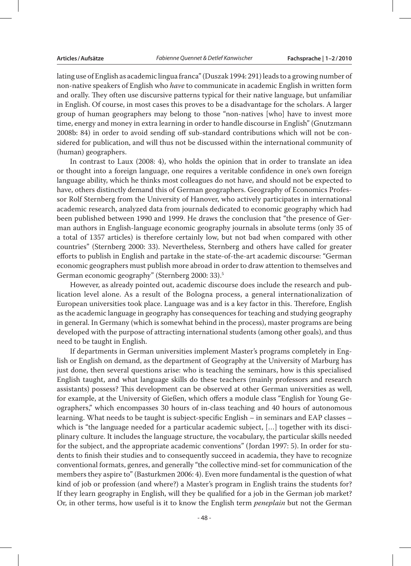lating use of English as academic lingua franca" (Duszak 1994: 291) leads to a growing number of non-native speakers of English who *have* to communicate in academic English in written form and orally. They often use discursive patterns typical for their native language, but unfamiliar in English. Of course, in most cases this proves to be a disadvantage for the scholars. A larger group of human geographers may belong to those "non-natives [who] have to invest more time, energy and money in extra learning in order to handle discourse in English" (Gnutzmann 2008b: 84) in order to avoid sending off sub-standard contributions which will not be considered for publication, and will thus not be discussed within the international community of (human) geographers.

In contrast to Laux (2008: 4), who holds the opinion that in order to translate an idea or thought into a foreign language, one requires a veritable confidence in one's own foreign language ability, which he thinks most colleagues do not have, and should not be expected to have, others distinctly demand this of German geographers. Geography of Economics Professor Rolf Sternberg from the University of Hanover, who actively participates in international academic research, analyzed data from journals dedicated to economic geography which had been published between 1990 and 1999. He draws the conclusion that "the presence of German authors in English-language economic geography journals in absolute terms (only 35 of a total of 1357 articles) is therefore certainly low, but not bad when compared with other countries" (Sternberg 2000: 33). Nevertheless, Sternberg and others have called for greater efforts to publish in English and partake in the state-of-the-art academic discourse: "German economic geographers must publish more abroad in order to draw attention to themselves and German economic geography" (Sternberg 2000: 33).5

However, as already pointed out, academic discourse does include the research and publication level alone. As a result of the Bologna process, a general internationalization of European universities took place. Language was and is a key factor in this. Therefore, English as the academic language in geography has consequences for teaching and studying geography in general. In Germany (which is somewhat behind in the process), master programs are being developed with the purpose of attracting international students (among other goals), and thus need to be taught in English.

If departments in German universities implement Master's programs completely in English or English on demand, as the department of Geography at the University of Marburg has just done, then several questions arise: who is teaching the seminars, how is this specialised English taught, and what language skills do these teachers (mainly professors and research assistants) possess? This development can be observed at other German universities as well, for example, at the University of Gießen, which offers a module class "English for Young Geographers," which encompasses 30 hours of in-class teaching and 40 hours of autonomous learning. What needs to be taught is subject-specific English – in seminars and EAP classes – which is "the language needed for a particular academic subject, [...] together with its disciplinary culture. It includes the language structure, the vocabulary, the particular skills needed for the subject, and the appropriate academic conventions" (Jordan 1997: 5). In order for students to finish their studies and to consequently succeed in academia, they have to recognize conventional formats, genres, and generally "the collective mind-set for communication of the members they aspire to" (Basturkmen 2006: 4). Even more fundamental is the question of what kind of job or profession (and where?) a Master's program in English trains the students for? If they learn geography in English, will they be qualified for a job in the German job market? Or, in other terms, how useful is it to know the English term *peneplain* but not the German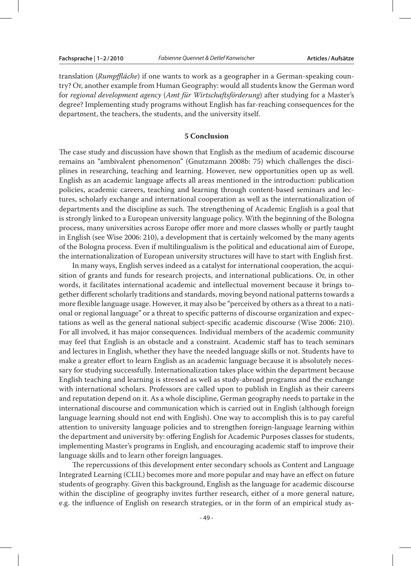translation (*Rumpffläche*) if one wants to work as a geographer in a German-speaking country? Or, another example from Human Geography: would all students know the German word for *regional development agency* (*Amt für Wirtschaftsförderung*) after studying for a Master's degree? Implementing study programs without English has far-reaching consequences for the department, the teachers, the students, and the university itself.

### **5 Conclusion**

The case study and discussion have shown that English as the medium of academic discourse remains an "ambivalent phenomenon" (Gnutzmann 2008b: 75) which challenges the disciplines in researching, teaching and learning. However, new opportunities open up as well. English as an academic language affects all areas mentioned in the introduction: publication policies, academic careers, teaching and learning through content-based seminars and lectures, scholarly exchange and international cooperation as well as the internationalization of departments and the discipline as such. The strengthening of Academic English is a goal that is strongly linked to a European university language policy. With the beginning of the Bologna process, many universities across Europe offer more and more classes wholly or partly taught in English (see Wise 2006: 210), a development that is certainly welcomed by the many agents of the Bologna process. Even if multilingualism is the political and educational aim of Europe, the internationalization of European university structures will have to start with English first.

In many ways, English serves indeed as a catalyst for international cooperation, the acquisition of grants and funds for research projects, and international publications. Or, in other words, it facilitates international academic and intellectual movement because it brings together different scholarly traditions and standards, moving beyond national patterns towards a more flexible language usage. However, it may also be "perceived by others as a threat to a national or regional language" or a threat to specific patterns of discourse organization and expectations as well as the general national subject-specific academic discourse (Wise 2006: 210). For all involved, it has major consequences. Individual members of the academic community may feel that English is an obstacle and a constraint. Academic staff has to teach seminars and lectures in English, whether they have the needed language skills or not. Students have to make a greater effort to learn English as an academic language because it is absolutely necessary for studying successfully. Internationalization takes place within the department because English teaching and learning is stressed as well as study-abroad programs and the exchange with international scholars. Professors are called upon to publish in English as their careers and reputation depend on it. As a whole discipline, German geography needs to partake in the international discourse and communication which is carried out in English (although foreign language learning should not end with English). One way to accomplish this is to pay careful attention to university language policies and to strengthen foreign-language learning within the department and university by: offering English for Academic Purposes classes for students, implementing Master's programs in English, and encouraging academic staff to improve their language skills and to learn other foreign languages.

The repercussions of this development enter secondary schools as Content and Language Integrated Learning (CLIL) becomes more and more popular and may have an effect on future students of geography. Given this background, English as the language for academic discourse within the discipline of geography invites further research, either of a more general nature, e.g. the influence of English on research strategies, or in the form of an empirical study as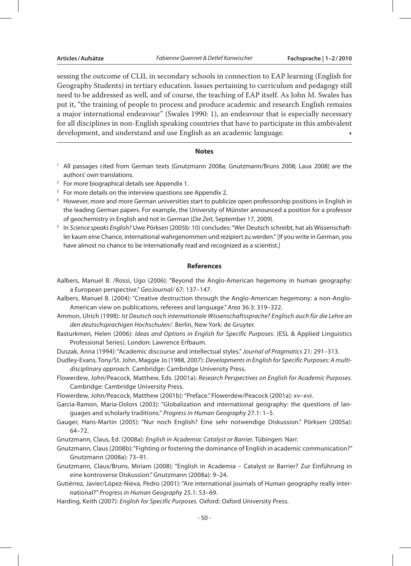sessing the outcome of CLIL in secondary schools in connection to EAP learning (English for Geography Students) in tertiary education. Issues pertaining to curriculum and pedagogy still need to be addressed as well, and of course, the teaching of EAP itself. As John M. Swales has put it, "the training of people to process and produce academic and research English remains a major international endeavour" (Swales 1990: 1), an endeavour that is especially necessary for all disciplines in non-English speaking countries that have to participate in this ambivalent development, and understand and use English as an academic language. •

### **Notes**

- <sup>1</sup> All passages cited from German texts (Gnutzmann 2008a; Gnutzmann/Bruns 2008; Laux 2008) are the authors' own translations.
- <sup>2</sup> For more biographical details see Appendix 1.
- <sup>3</sup> For more details on the interview questions see Appendix 2.
- <sup>4</sup> However, more and more German universities start to publicize open professorship positions in English in the leading German papers. For example, the University of Münster announced a position for a professor of geochemistry in English and not in German (*Die Zeit,* September 17, 2009).
- <sup>5</sup> In *Science speaks English?* Uwe Pörksen (2005b: 10) concludes: "Wer Deutsch schreibt, hat als Wissenschaftler kaum eine Chance, international wahrgenommen und rezipiert zu werden." [If you write in German, you have almost no chance to be internationally read and recognized as a scientist.]

#### **References**

- Aalbers, Manuel B. /Rossi, Ugo (2006): "Beyond the Anglo-American hegemony in human geography: a European perspective." *GeoJournal/* 67: 137–147.
- Aalbers, Manuel B. (2004): "Creative destruction through the Anglo-American hegemony: a non-Anglo-American view on publications, referees and language." *Area* 36.3: 319–322.
- Ammon, Ulrich (1998): *Ist Deutsch noch internationale Wissenschaftssprache? Englisch auch für die Lehre an den deutschsprachigen Hochschulen/*. Berlin, New York: de Gruyter.
- Basturkmen, Helen (2006): *Ideas and Options in English for Specific Purposes*. (ESL & Applied Linguistics Professional Series). London: Lawrence Erlbaum.
- Duszak, Anna (1994): "Academic discourse and intellectual styles." *Journal of Pragmatics* 21: 291–313.
- Dudley-Evans, Tony/St. John, Maggie Jo (1988, 2007): *Developments in English for Specific Purposes: A multidisciplinary approach.* Cambridge: Cambridge University Press.
- Flowerdew, John/Peacock, Matthew, Eds. (2001a): *Research Perspectives on English for Academic Purposes.* Cambridge: Cambridge University Press.
- Flowerdew, John/Peacock, Matthew (2001b): "Preface." Flowerdew/Peacock (2001a): xv–xvi.
- Garcia-Ramon, Maria-Dolors (2003): "Globalization and international geography: the questions of languages and scholarly traditions." *Progress in Human Geography* 27.1: 1–5.
- Gauger, Hans-Martin (2005): "Nur noch English? Eine sehr notwendige Diskussion." Pörksen (2005a): 64–72.
- Gnutzmann, Claus, Ed. (2008a): *English in Academia: Catalyst or Barrier.* Tübingen: Narr.
- Gnutzmann, Claus (2008b): "Fighting or fostering the dominance of English in academic communication?" Gnutzmann (2008a): 73–91.
- Gnutzmann, Claus/Bruns, Miriam (2008): "English in Academia Catalyst or Barrier? Zur Einführung in eine kontroverse Diskussion." Gnutzmann (2008a): 9–24.
- Gutiérrez, Javier/López-Nieva, Pedro (2001): "Are international journals of Human geography really international?" *Progress in Human Geography* 25.1: 53–69.
- Harding, Keith (2007): *English for Specific Purposes.* Oxford: Oxford University Press.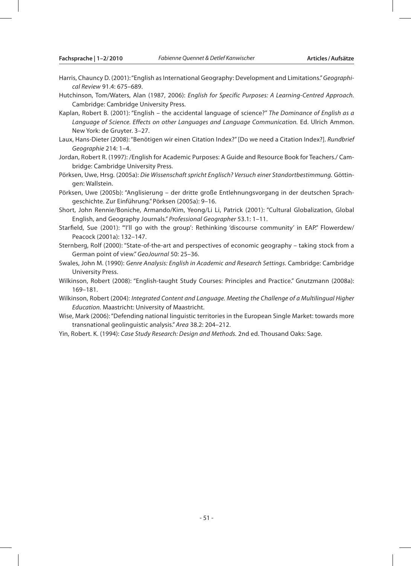- Harris, Chauncy D. (2001): "English as International Geography: Development and Limitations." *Geographical Review* 91.4: 675–689.
- Hutchinson, Tom/Waters, Alan (1987, 2006): *English for Specific Purposes: A Learning-Centred Approach.* Cambridge: Cambridge University Press.
- Kaplan, Robert B. (2001): "English the accidental language of science?" *The Dominance of English as a Language of Science. Effects on other Languages and Language Communication.* Ed. Ulrich Ammon. New York: de Gruyter. 3–27.
- Laux, Hans-Dieter (2008): "Benötigen wir einen Citation Index?" [Do we need a Citation Index?]. *Rundbrief Geographie* 214: 1–4.
- Jordan, Robert R. (1997): /English for Academic Purposes: A Guide and Resource Book for Teachers./ Cambridge: Cambridge University Press.
- Pörksen, Uwe, Hrsg. (2005a): *Die Wissenschaft spricht Englisch? Versuch einer Standortbestimmung.* Göttingen: Wallstein.
- Pörksen, Uwe (2005b): "Anglisierung der dritte große Entlehnungsvorgang in der deutschen Sprachgeschichte. Zur Einführung." Pörksen (2005a): 9–16.
- Short, John Rennie/Boniche, Armando/Kim, Yeong/Li Li, Patrick (2001): "Cultural Globalization, Global English, and Geography Journals." *Professional Geographer* 53.1: 1–11.
- Starfield, Sue (2001): "'I'll go with the group': Rethinking 'discourse community' in EAP." Flowerdew/ Peacock (2001a): 132–147.
- Sternberg, Rolf (2000): "State-of-the-art and perspectives of economic geography taking stock from a German point of view." *GeoJournal* 50: 25–36.
- Swales, John M. (1990): *Genre Analysis: English in Academic and Research Settings.* Cambridge: Cambridge University Press.
- Wilkinson, Robert (2008): "English-taught Study Courses: Principles and Practice." Gnutzmann (2008a): 169–181.
- Wilkinson, Robert (2004): *Integrated Content and Language. Meeting the Challenge of a Multilingual Higher Education.* Maastricht: University of Maastricht.
- Wise, Mark (2006): "Defending national linguistic territories in the European Single Market: towards more transnational geolinguistic analysis." *Area* 38.2: 204–212.
- Yin, Robert. K. (1994): *Case Study Research: Design and Methods.* 2nd ed. Thousand Oaks: Sage.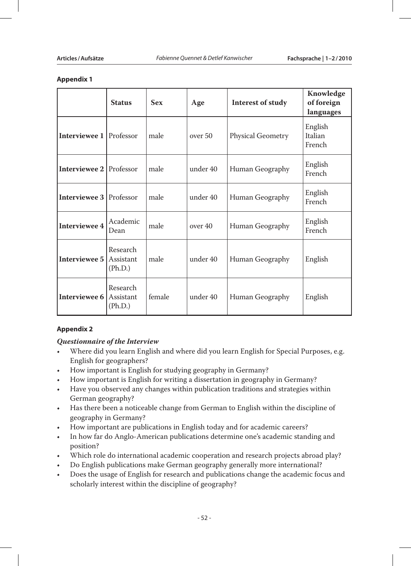### **Appendix 1**

|                                | <b>Status</b>                    | <b>Sex</b> | Age      | Interest of study | Knowledge<br>of foreign<br>languages |
|--------------------------------|----------------------------------|------------|----------|-------------------|--------------------------------------|
| <b>Interviewee 1 Professor</b> |                                  | male       | over 50  | Physical Geometry | English<br>Italian<br>French         |
| <b>Interviewee 2 Professor</b> |                                  | male       | under 40 | Human Geography   | English<br>French                    |
| <b>Interviewee 3</b> Professor |                                  | male       | under 40 | Human Geography   | English<br>French                    |
| <b>Interviewee 4</b>           | Academic<br>Dean                 | male       | over 40  | Human Geography   | English<br>French                    |
| Interviewee 5                  | Research<br>Assistant<br>(Ph.D.) | male       | under 40 | Human Geography   | English                              |
| <b>Interviewee 6 Assistant</b> | Research<br>(Ph.D.)              | female     | under 40 | Human Geography   | English                              |

## **Appendix 2**

## *Questionnaire of the Interview*

- Where did you learn English and where did you learn English for Special Purposes, e.g. English for geographers?
- How important is English for studying geography in Germany?
- How important is English for writing a dissertation in geography in Germany?
- • Have you observed any changes within publication traditions and strategies within German geography?
- • Has there been a noticeable change from German to English within the discipline of geography in Germany?
- How important are publications in English today and for academic careers?
- In how far do Anglo-American publications determine one's academic standing and position?
- Which role do international academic cooperation and research projects abroad play?
- Do English publications make German geography generally more international?
- Does the usage of English for research and publications change the academic focus and scholarly interest within the discipline of geography?